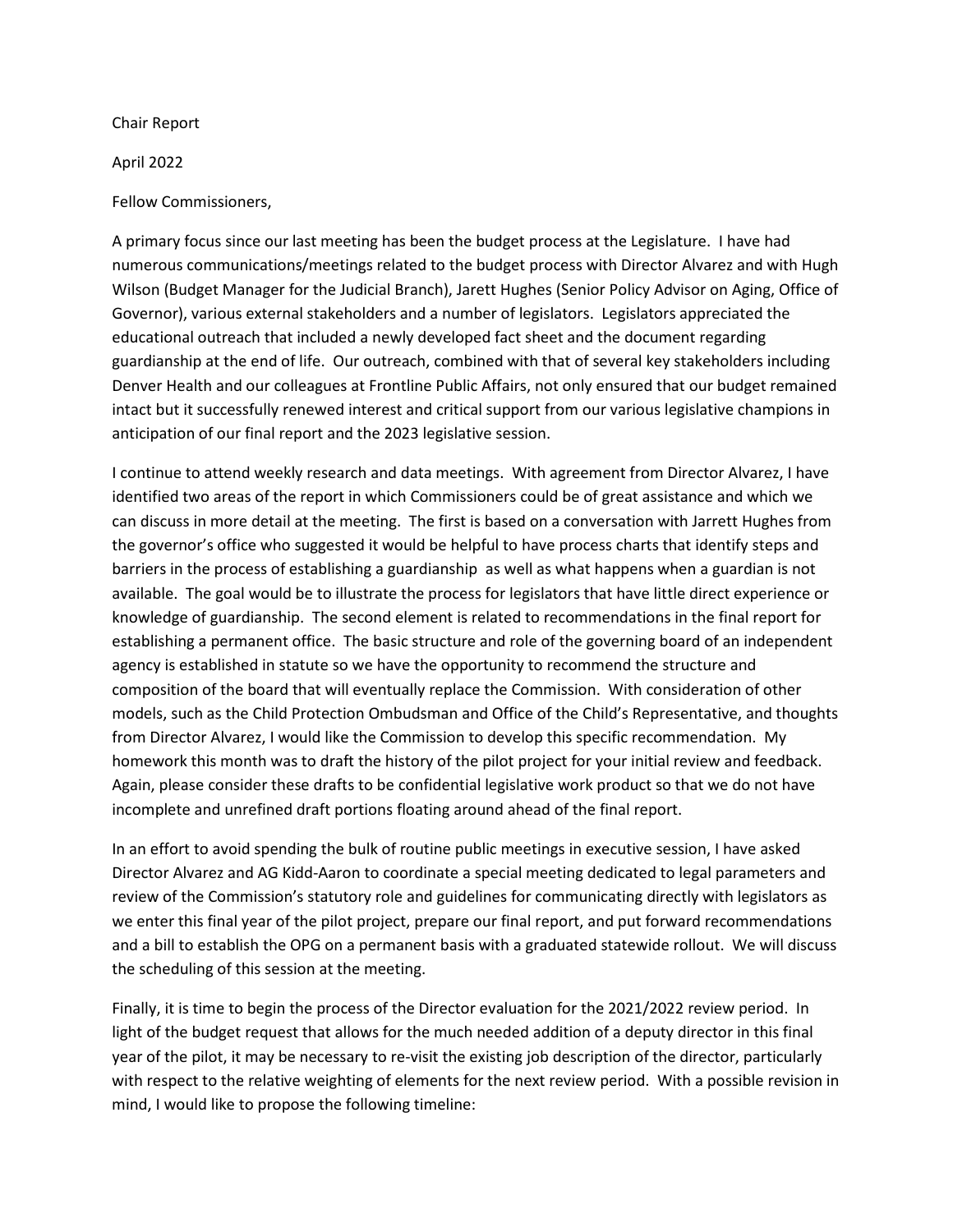Chair Report

April 2022

## Fellow Commissioners,

A primary focus since our last meeting has been the budget process at the Legislature. I have had numerous communications/meetings related to the budget process with Director Alvarez and with Hugh Wilson (Budget Manager for the Judicial Branch), Jarett Hughes (Senior Policy Advisor on Aging, Office of Governor), various external stakeholders and a number of legislators. Legislators appreciated the educational outreach that included a newly developed fact sheet and the document regarding guardianship at the end of life. Our outreach, combined with that of several key stakeholders including Denver Health and our colleagues at Frontline Public Affairs, not only ensured that our budget remained intact but it successfully renewed interest and critical support from our various legislative champions in anticipation of our final report and the 2023 legislative session.

I continue to attend weekly research and data meetings. With agreement from Director Alvarez, I have identified two areas of the report in which Commissioners could be of great assistance and which we can discuss in more detail at the meeting. The first is based on a conversation with Jarrett Hughes from the governor's office who suggested it would be helpful to have process charts that identify steps and barriers in the process of establishing a guardianship as well as what happens when a guardian is not available. The goal would be to illustrate the process for legislators that have little direct experience or knowledge of guardianship. The second element is related to recommendations in the final report for establishing a permanent office. The basic structure and role of the governing board of an independent agency is established in statute so we have the opportunity to recommend the structure and composition of the board that will eventually replace the Commission. With consideration of other models, such as the Child Protection Ombudsman and Office of the Child's Representative, and thoughts from Director Alvarez, I would like the Commission to develop this specific recommendation. My homework this month was to draft the history of the pilot project for your initial review and feedback. Again, please consider these drafts to be confidential legislative work product so that we do not have incomplete and unrefined draft portions floating around ahead of the final report.

In an effort to avoid spending the bulk of routine public meetings in executive session, I have asked Director Alvarez and AG Kidd-Aaron to coordinate a special meeting dedicated to legal parameters and review of the Commission's statutory role and guidelines for communicating directly with legislators as we enter this final year of the pilot project, prepare our final report, and put forward recommendations and a bill to establish the OPG on a permanent basis with a graduated statewide rollout. We will discuss the scheduling of this session at the meeting.

Finally, it is time to begin the process of the Director evaluation for the 2021/2022 review period. In light of the budget request that allows for the much needed addition of a deputy director in this final year of the pilot, it may be necessary to re-visit the existing job description of the director, particularly with respect to the relative weighting of elements for the next review period. With a possible revision in mind, I would like to propose the following timeline: